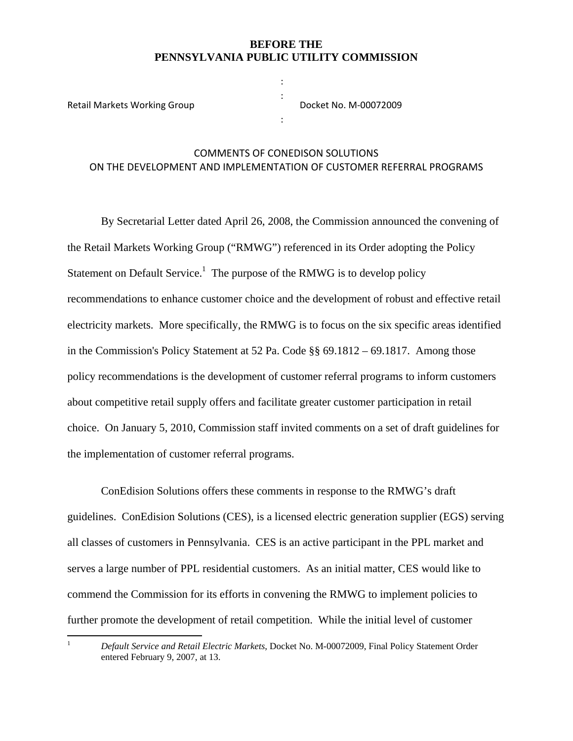#### **BEFORE THE PENNSYLVANIA PUBLIC UTILITY COMMISSION**

: :

:

Retail Markets Working Group

Docket No. M‐00072009

## COMMENTS OF CONEDISON SOLUTIONS ON THE DEVELOPMENT AND IMPLEMENTATION OF CUSTOMER REFERRAL PROGRAMS

By Secretarial Letter dated April 26, 2008, the Commission announced the convening of the Retail Markets Working Group ("RMWG") referenced in its Order adopting the Policy Statement on Default Service.<sup>1</sup> The purpose of the RMWG is to develop policy recommendations to enhance customer choice and the development of robust and effective retail electricity markets. More specifically, the RMWG is to focus on the six specific areas identified in the Commission's Policy Statement at 52 Pa. Code §§ 69.1812 – 69.1817. Among those policy recommendations is the development of customer referral programs to inform customers about competitive retail supply offers and facilitate greater customer participation in retail choice. On January 5, 2010, Commission staff invited comments on a set of draft guidelines for the implementation of customer referral programs.

 ConEdision Solutions offers these comments in response to the RMWG's draft guidelines. ConEdision Solutions (CES), is a licensed electric generation supplier (EGS) serving all classes of customers in Pennsylvania. CES is an active participant in the PPL market and serves a large number of PPL residential customers. As an initial matter, CES would like to commend the Commission for its efforts in convening the RMWG to implement policies to further promote the development of retail competition. While the initial level of customer

 1

*Default Service and Retail Electric Markets*, Docket No. M-00072009, Final Policy Statement Order entered February 9, 2007, at 13.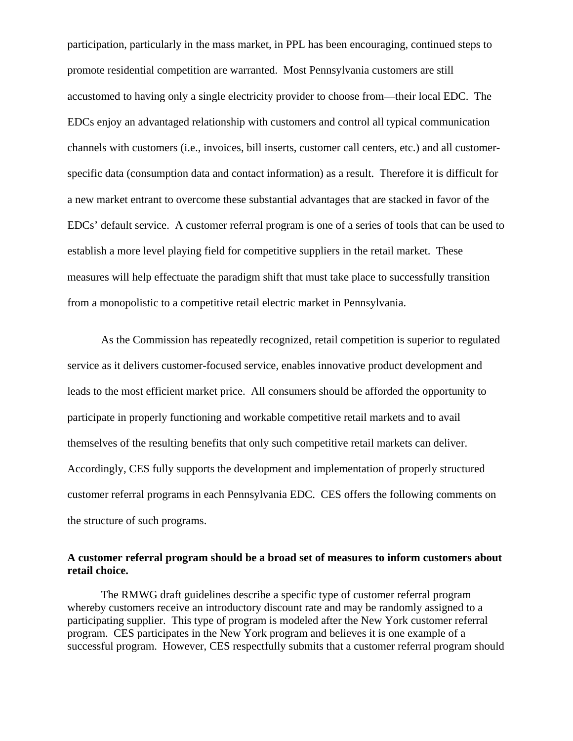participation, particularly in the mass market, in PPL has been encouraging, continued steps to promote residential competition are warranted. Most Pennsylvania customers are still accustomed to having only a single electricity provider to choose from—their local EDC. The EDCs enjoy an advantaged relationship with customers and control all typical communication channels with customers (i.e., invoices, bill inserts, customer call centers, etc.) and all customerspecific data (consumption data and contact information) as a result. Therefore it is difficult for a new market entrant to overcome these substantial advantages that are stacked in favor of the EDCs' default service. A customer referral program is one of a series of tools that can be used to establish a more level playing field for competitive suppliers in the retail market. These measures will help effectuate the paradigm shift that must take place to successfully transition from a monopolistic to a competitive retail electric market in Pennsylvania.

As the Commission has repeatedly recognized, retail competition is superior to regulated service as it delivers customer-focused service, enables innovative product development and leads to the most efficient market price. All consumers should be afforded the opportunity to participate in properly functioning and workable competitive retail markets and to avail themselves of the resulting benefits that only such competitive retail markets can deliver. Accordingly, CES fully supports the development and implementation of properly structured customer referral programs in each Pennsylvania EDC. CES offers the following comments on the structure of such programs.

### **A customer referral program should be a broad set of measures to inform customers about retail choice.**

The RMWG draft guidelines describe a specific type of customer referral program whereby customers receive an introductory discount rate and may be randomly assigned to a participating supplier. This type of program is modeled after the New York customer referral program. CES participates in the New York program and believes it is one example of a successful program. However, CES respectfully submits that a customer referral program should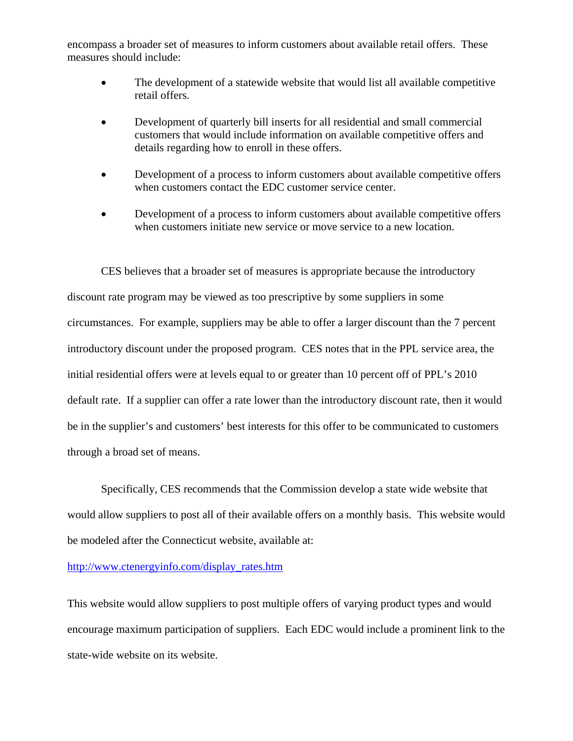encompass a broader set of measures to inform customers about available retail offers. These measures should include:

- The development of a statewide website that would list all available competitive retail offers.
- Development of quarterly bill inserts for all residential and small commercial customers that would include information on available competitive offers and details regarding how to enroll in these offers.
- Development of a process to inform customers about available competitive offers when customers contact the EDC customer service center.
- Development of a process to inform customers about available competitive offers when customers initiate new service or move service to a new location.

CES believes that a broader set of measures is appropriate because the introductory discount rate program may be viewed as too prescriptive by some suppliers in some circumstances. For example, suppliers may be able to offer a larger discount than the 7 percent introductory discount under the proposed program. CES notes that in the PPL service area, the initial residential offers were at levels equal to or greater than 10 percent off of PPL's 2010 default rate. If a supplier can offer a rate lower than the introductory discount rate, then it would be in the supplier's and customers' best interests for this offer to be communicated to customers through a broad set of means.

Specifically, CES recommends that the Commission develop a state wide website that would allow suppliers to post all of their available offers on a monthly basis. This website would be modeled after the Connecticut website, available at:

#### http://www.ctenergyinfo.com/display\_rates.htm

This website would allow suppliers to post multiple offers of varying product types and would encourage maximum participation of suppliers. Each EDC would include a prominent link to the state-wide website on its website.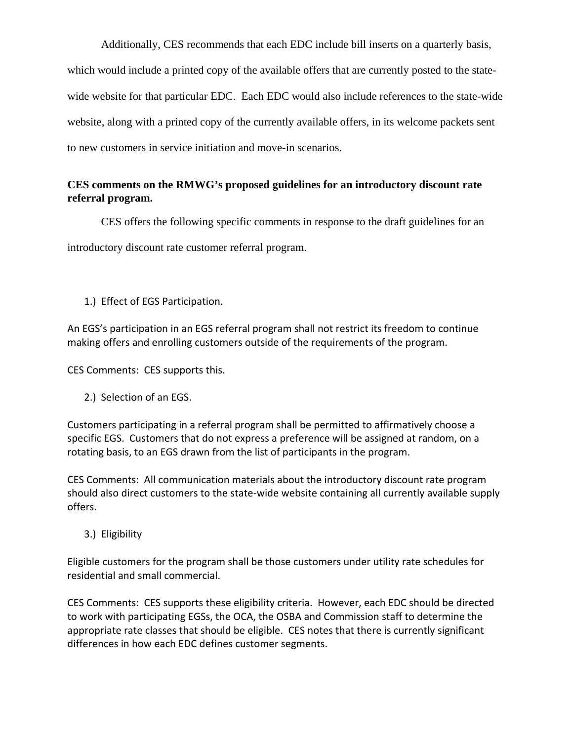Additionally, CES recommends that each EDC include bill inserts on a quarterly basis, which would include a printed copy of the available offers that are currently posted to the statewide website for that particular EDC. Each EDC would also include references to the state-wide website, along with a printed copy of the currently available offers, in its welcome packets sent to new customers in service initiation and move-in scenarios.

# **CES comments on the RMWG's proposed guidelines for an introductory discount rate referral program.**

CES offers the following specific comments in response to the draft guidelines for an

introductory discount rate customer referral program.

1.) Effect of EGS Participation.

An EGS's participation in an EGS referral program shall not restrict its freedom to continue making offers and enrolling customers outside of the requirements of the program.

CES Comments: CES supports this.

2.) Selection of an EGS.

Customers participating in a referral program shall be permitted to affirmatively choose a specific EGS. Customers that do not express a preference will be assigned at random, on a rotating basis, to an EGS drawn from the list of participants in the program.

CES Comments: All communication materials about the introductory discount rate program should also direct customers to the state‐wide website containing all currently available supply offers.

3.) Eligibility

Eligible customers for the program shall be those customers under utility rate schedules for residential and small commercial.

CES Comments: CES supports these eligibility criteria. However, each EDC should be directed to work with participating EGSs, the OCA, the OSBA and Commission staff to determine the appropriate rate classes that should be eligible. CES notes that there is currently significant differences in how each EDC defines customer segments.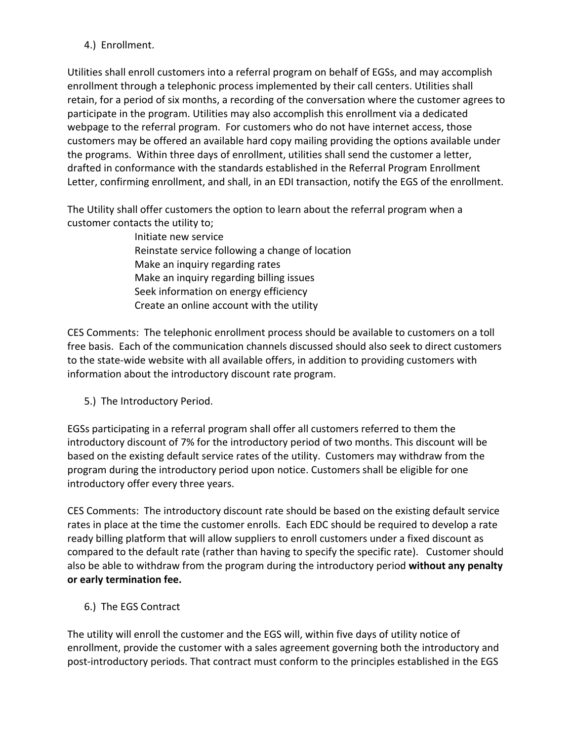# 4.) Enrollment.

Utilities shall enroll customers into a referral program on behalf of EGSs, and may accomplish enrollment through a telephonic process implemented by their call centers. Utilities shall retain, for a period of six months, a recording of the conversation where the customer agrees to participate in the program. Utilities may also accomplish this enrollment via a dedicated webpage to the referral program. For customers who do not have internet access, those customers may be offered an available hard copy mailing providing the options available under the programs. Within three days of enrollment, utilities shall send the customer a letter, drafted in conformance with the standards established in the Referral Program Enrollment Letter, confirming enrollment, and shall, in an EDI transaction, notify the EGS of the enrollment.

The Utility shall offer customers the option to learn about the referral program when a customer contacts the utility to;

> Initiate new service Reinstate service following a change of location Make an inquiry regarding rates Make an inquiry regarding billing issues Seek information on energy efficiency Create an online account with the utility

CES Comments: The telephonic enrollment process should be available to customers on a toll free basis. Each of the communication channels discussed should also seek to direct customers to the state‐wide website with all available offers, in addition to providing customers with information about the introductory discount rate program.

5.) The Introductory Period.

EGSs participating in a referral program shall offer all customers referred to them the introductory discount of 7% for the introductory period of two months. This discount will be based on the existing default service rates of the utility. Customers may withdraw from the program during the introductory period upon notice. Customers shall be eligible for one introductory offer every three years.

CES Comments: The introductory discount rate should be based on the existing default service rates in place at the time the customer enrolls. Each EDC should be required to develop a rate ready billing platform that will allow suppliers to enroll customers under a fixed discount as compared to the default rate (rather than having to specify the specific rate). Customer should also be able to withdraw from the program during the introductory period **without any penalty or early termination fee.** 

6.) The EGS Contract

The utility will enroll the customer and the EGS will, within five days of utility notice of enrollment, provide the customer with a sales agreement governing both the introductory and post‐introductory periods. That contract must conform to the principles established in the EGS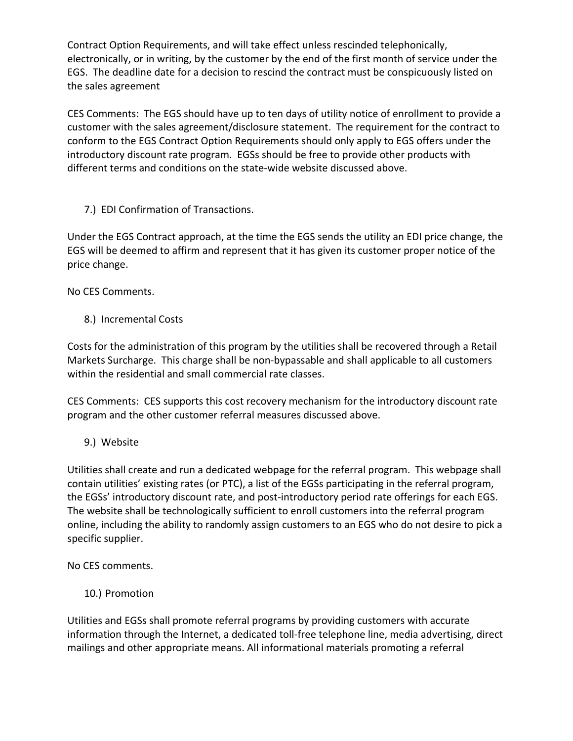Contract Option Requirements, and will take effect unless rescinded telephonically, electronically, or in writing, by the customer by the end of the first month of service under the EGS. The deadline date for a decision to rescind the contract must be conspicuously listed on the sales agreement

CES Comments: The EGS should have up to ten days of utility notice of enrollment to provide a customer with the sales agreement/disclosure statement. The requirement for the contract to conform to the EGS Contract Option Requirements should only apply to EGS offers under the introductory discount rate program. EGSs should be free to provide other products with different terms and conditions on the state‐wide website discussed above.

7.) EDI Confirmation of Transactions.

Under the EGS Contract approach, at the time the EGS sends the utility an EDI price change, the EGS will be deemed to affirm and represent that it has given its customer proper notice of the price change.

No CES Comments.

8.) Incremental Costs

Costs for the administration of this program by the utilities shall be recovered through a Retail Markets Surcharge. This charge shall be non‐bypassable and shall applicable to all customers within the residential and small commercial rate classes.

CES Comments: CES supports this cost recovery mechanism for the introductory discount rate program and the other customer referral measures discussed above.

9.) Website

Utilities shall create and run a dedicated webpage for the referral program. This webpage shall contain utilities' existing rates (or PTC), a list of the EGSs participating in the referral program, the EGSs' introductory discount rate, and post‐introductory period rate offerings for each EGS. The website shall be technologically sufficient to enroll customers into the referral program online, including the ability to randomly assign customers to an EGS who do not desire to pick a specific supplier.

No CES comments.

10.) Promotion

Utilities and EGSs shall promote referral programs by providing customers with accurate information through the Internet, a dedicated toll‐free telephone line, media advertising, direct mailings and other appropriate means. All informational materials promoting a referral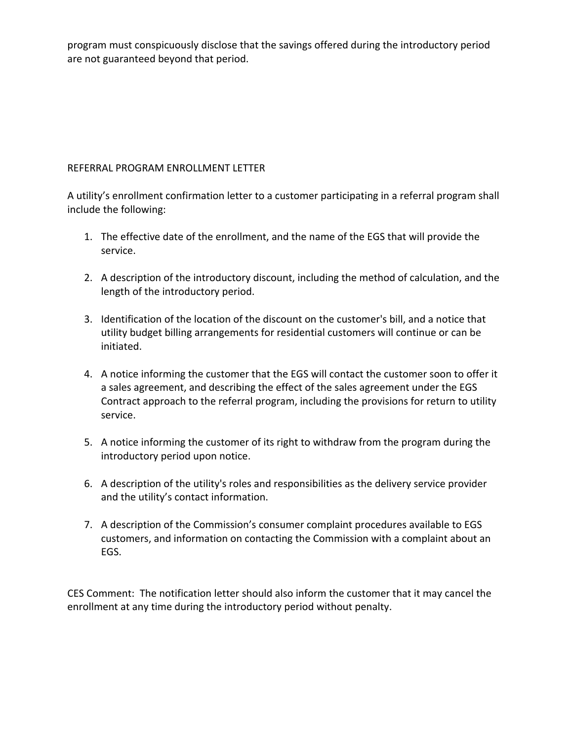program must conspicuously disclose that the savings offered during the introductory period are not guaranteed beyond that period.

# REFERRAL PROGRAM ENROLLMENT LETTER

A utility's enrollment confirmation letter to a customer participating in a referral program shall include the following:

- 1. The effective date of the enrollment, and the name of the EGS that will provide the service.
- 2. A description of the introductory discount, including the method of calculation, and the length of the introductory period.
- 3. Identification of the location of the discount on the customer's bill, and a notice that utility budget billing arrangements for residential customers will continue or can be initiated.
- 4. A notice informing the customer that the EGS will contact the customer soon to offer it a sales agreement, and describing the effect of the sales agreement under the EGS Contract approach to the referral program, including the provisions for return to utility service.
- 5. A notice informing the customer of its right to withdraw from the program during the introductory period upon notice.
- 6. A description of the utility's roles and responsibilities as the delivery service provider and the utility's contact information.
- 7. A description of the Commission's consumer complaint procedures available to EGS customers, and information on contacting the Commission with a complaint about an EGS.

CES Comment: The notification letter should also inform the customer that it may cancel the enrollment at any time during the introductory period without penalty.